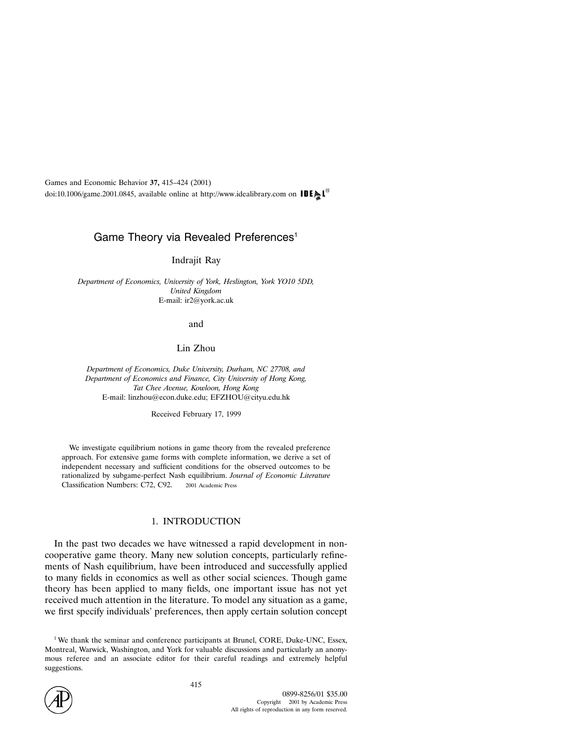## Game Theory via Revealed Preferences<sup>1</sup>

Indrajit Ray

Department of Economics, University of York, Heslington, York YO10 5DD, United Kingdom E-mail: ir2@york.ac.uk

#### and

### Lin Zhou

Department of Economics, Duke University, Durham, NC 27708, and Department of Economics and Finance, City University of Hong Kong, Tat Chee Avenue, Kowloon, Hong Kong E-mail: linzhou@econ.duke.edu; EFZHOU@cityu.edu.hk

Received February 17, 1999

We investigate equilibrium notions in game theory from the revealed preference approach. For extensive game forms with complete information, we derive a set of independent necessary and sufficient conditions for the observed outcomes to be rationalized by subgame-perfect Nash equilibrium. Journal of Economic Literature Classification Numbers: C72, C92. 2001 Academic Press

#### 1. INTRODUCTION

In the past two decades we have witnessed a rapid development in noncooperative game theory. Many new solution concepts, particularly refinements of Nash equilibrium, have been introduced and successfully applied to many fields in economics as well as other social sciences. Though game theory has been applied to many fields, one important issue has not yet received much attention in the literature. To model any situation as a game, we first specify individuals' preferences, then apply certain solution concept

<sup>&</sup>lt;sup>1</sup>We thank the seminar and conference participants at Brunel, CORE, Duke-UNC, Essex, Montreal, Warwick, Washington, and York for valuable discussions and particularly an anonymous referee and an associate editor for their careful readings and extremely helpful suggestions.

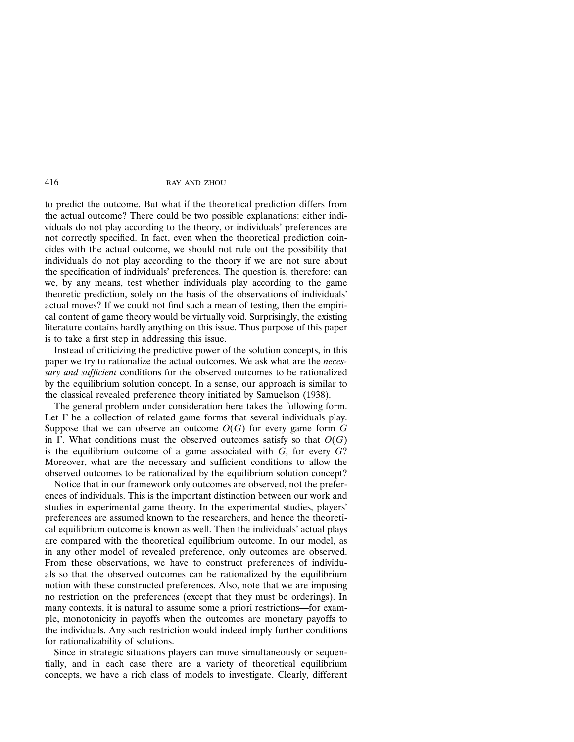to predict the outcome. But what if the theoretical prediction differs from the actual outcome? There could be two possible explanations: either individuals do not play according to the theory, or individuals' preferences are not correctly specified. In fact, even when the theoretical prediction coincides with the actual outcome, we should not rule out the possibility that individuals do not play according to the theory if we are not sure about the specification of individuals' preferences. The question is, therefore: can we, by any means, test whether individuals play according to the game theoretic prediction, solely on the basis of the observations of individuals' actual moves? If we could not find such a mean of testing, then the empirical content of game theory would be virtually void. Surprisingly, the existing literature contains hardly anything on this issue. Thus purpose of this paper is to take a first step in addressing this issue.

Instead of criticizing the predictive power of the solution concepts, in this paper we try to rationalize the actual outcomes. We ask what are the necessary and sufficient conditions for the observed outcomes to be rationalized by the equilibrium solution concept. In a sense, our approach is similar to the classical revealed preference theory initiated by Samuelson (1938).

The general problem under consideration here takes the following form. Let  $\Gamma$  be a collection of related game forms that several individuals play. Suppose that we can observe an outcome  $O(G)$  for every game form G in  $\Gamma$ . What conditions must the observed outcomes satisfy so that  $O(G)$  is the equilibrium outcome of a game associated with  $G$ , for every  $G$ ? Moreover, what are the necessary and sufficient conditions to allow the observed outcomes to be rationalized by the equilibrium solution concept?

Notice that in our framework only outcomes are observed, not the preferences of individuals. This is the important distinction between our work and studies in experimental game theory. In the experimental studies, players' preferences are assumed known to the researchers, and hence the theoretical equilibrium outcome is known as well. Then the individuals' actual plays are compared with the theoretical equilibrium outcome. In our model, as in any other model of revealed preference, only outcomes are observed. From these observations, we have to construct preferences of individuals so that the observed outcomes can be rationalized by the equilibrium notion with these constructed preferences. Also, note that we are imposing no restriction on the preferences (except that they must be orderings). In many contexts, it is natural to assume some a priori restrictions—for example, monotonicity in payoffs when the outcomes are monetary payoffs to the individuals. Any such restriction would indeed imply further conditions for rationalizability of solutions.

Since in strategic situations players can move simultaneously or sequentially, and in each case there are a variety of theoretical equilibrium concepts, we have a rich class of models to investigate. Clearly, different